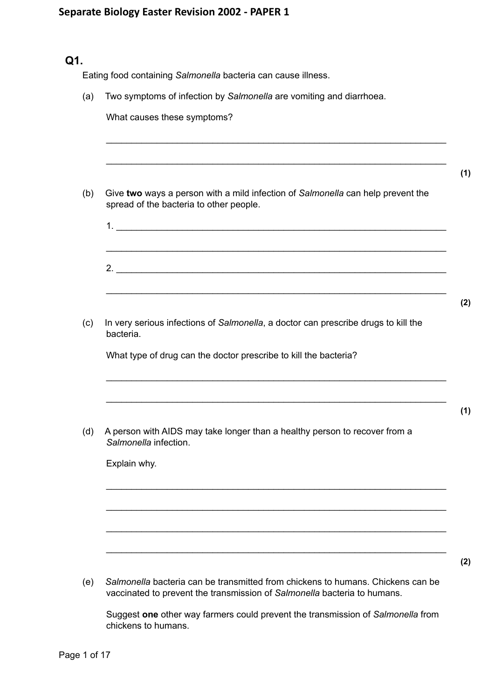## **Q1.**

Eating food containing *Salmonella* bacteria can cause illness.

(a) Two symptoms of infection by *Salmonella* are vomiting and diarrhoea.

| Give two ways a person with a mild infection of Salmonella can help prevent the<br>spread of the bacteria to other people. |
|----------------------------------------------------------------------------------------------------------------------------|
|                                                                                                                            |
| 2.                                                                                                                         |
|                                                                                                                            |
| In very serious infections of Salmonella, a doctor can prescribe drugs to kill the<br>bacteria.                            |
| What type of drug can the doctor prescribe to kill the bacteria?                                                           |
|                                                                                                                            |
| A person with AIDS may take longer than a healthy person to recover from a<br>Salmonella infection.                        |
| Explain why.                                                                                                               |
|                                                                                                                            |
|                                                                                                                            |
|                                                                                                                            |
|                                                                                                                            |

Suggest **one** other way farmers could prevent the transmission of *Salmonella* from chickens to humans.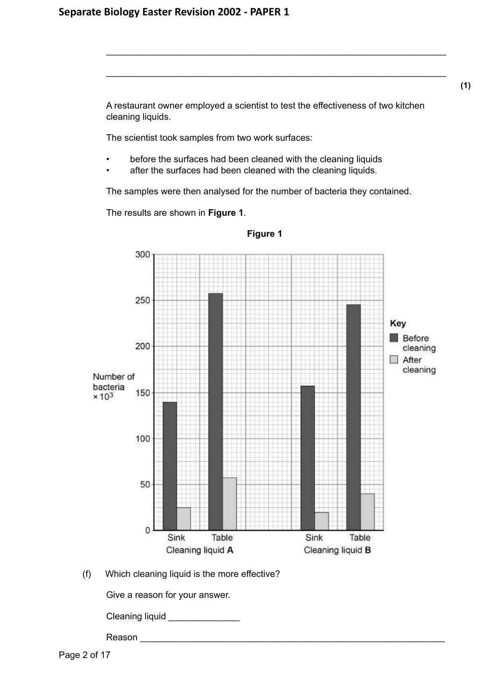**(1)**

A restaurant owner employed a scientist to test the effectiveness of two kitchen cleaning liquids.

\_\_\_\_\_\_\_\_\_\_\_\_\_\_\_\_\_\_\_\_\_\_\_\_\_\_\_\_\_\_\_\_\_\_\_\_\_\_\_\_\_\_\_\_\_\_\_\_\_\_\_\_\_\_\_\_\_\_\_\_\_\_\_\_\_\_\_

\_\_\_\_\_\_\_\_\_\_\_\_\_\_\_\_\_\_\_\_\_\_\_\_\_\_\_\_\_\_\_\_\_\_\_\_\_\_\_\_\_\_\_\_\_\_\_\_\_\_\_\_\_\_\_\_\_\_\_\_\_\_\_\_\_\_\_

The scientist took samples from two work surfaces:

- before the surfaces had been cleaned with the cleaning liquids
- after the surfaces had been cleaned with the cleaning liquids.

The samples were then analysed for the number of bacteria they contained.

The results are shown in **Figure 1**.



**Figure 1**

(f) Which cleaning liquid is the more effective?

Give a reason for your answer.

Cleaning liquid \_\_\_\_\_\_\_\_\_\_\_\_\_\_

Reason \_\_\_\_\_\_\_\_\_\_\_\_\_\_\_\_\_\_\_\_\_\_\_\_\_\_\_\_\_\_\_\_\_\_\_\_\_\_\_\_\_\_\_\_\_\_\_\_\_\_\_\_\_\_\_\_\_\_\_\_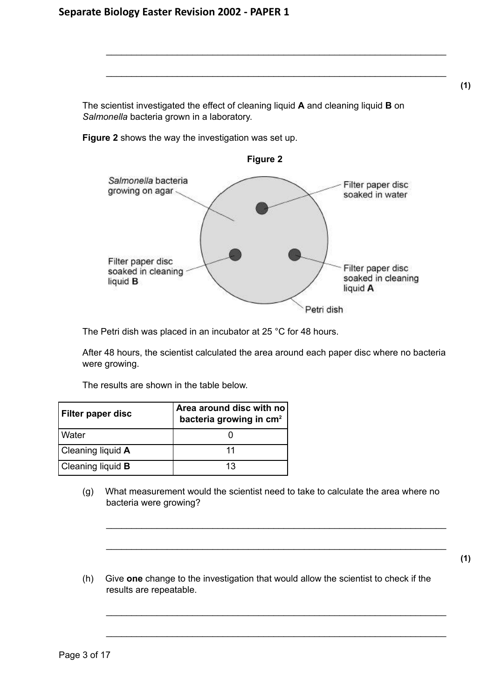**(1)**

The scientist investigated the effect of cleaning liquid **A** and cleaning liquid **B** on *Salmonella* bacteria grown in a laboratory.

\_\_\_\_\_\_\_\_\_\_\_\_\_\_\_\_\_\_\_\_\_\_\_\_\_\_\_\_\_\_\_\_\_\_\_\_\_\_\_\_\_\_\_\_\_\_\_\_\_\_\_\_\_\_\_\_\_\_\_\_\_\_\_\_\_\_\_

\_\_\_\_\_\_\_\_\_\_\_\_\_\_\_\_\_\_\_\_\_\_\_\_\_\_\_\_\_\_\_\_\_\_\_\_\_\_\_\_\_\_\_\_\_\_\_\_\_\_\_\_\_\_\_\_\_\_\_\_\_\_\_\_\_\_\_

**Figure 2** shows the way the investigation was set up.



The Petri dish was placed in an incubator at 25 °C for 48 hours.

After 48 hours, the scientist calculated the area around each paper disc where no bacteria were growing.

The results are shown in the table below.

| <b>Filter paper disc</b> | Area around disc with no<br>bacteria growing in cm <sup>2</sup> |
|--------------------------|-----------------------------------------------------------------|
| Water                    |                                                                 |
| Cleaning liquid A        |                                                                 |
| Cleaning liquid <b>B</b> | 13                                                              |

(g) What measurement would the scientist need to take to calculate the area where no bacteria were growing?

\_\_\_\_\_\_\_\_\_\_\_\_\_\_\_\_\_\_\_\_\_\_\_\_\_\_\_\_\_\_\_\_\_\_\_\_\_\_\_\_\_\_\_\_\_\_\_\_\_\_\_\_\_\_\_\_\_\_\_\_\_\_\_\_\_\_\_

\_\_\_\_\_\_\_\_\_\_\_\_\_\_\_\_\_\_\_\_\_\_\_\_\_\_\_\_\_\_\_\_\_\_\_\_\_\_\_\_\_\_\_\_\_\_\_\_\_\_\_\_\_\_\_\_\_\_\_\_\_\_\_\_\_\_\_

\_\_\_\_\_\_\_\_\_\_\_\_\_\_\_\_\_\_\_\_\_\_\_\_\_\_\_\_\_\_\_\_\_\_\_\_\_\_\_\_\_\_\_\_\_\_\_\_\_\_\_\_\_\_\_\_\_\_\_\_\_\_\_\_\_\_\_

\_\_\_\_\_\_\_\_\_\_\_\_\_\_\_\_\_\_\_\_\_\_\_\_\_\_\_\_\_\_\_\_\_\_\_\_\_\_\_\_\_\_\_\_\_\_\_\_\_\_\_\_\_\_\_\_\_\_\_\_\_\_\_\_\_\_\_

**(1)**

(h) Give **one** change to the investigation that would allow the scientist to check if the results are repeatable.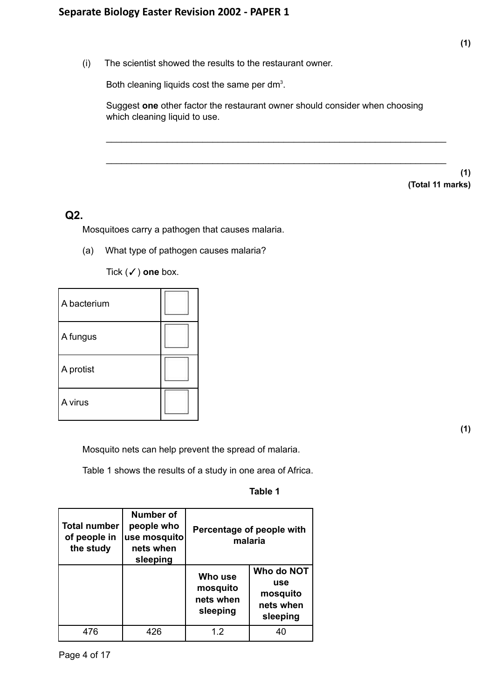(i) The scientist showed the results to the restaurant owner.

Both cleaning liquids cost the same per dm<sup>3</sup>.

Suggest **one** other factor the restaurant owner should consider when choosing which cleaning liquid to use.

\_\_\_\_\_\_\_\_\_\_\_\_\_\_\_\_\_\_\_\_\_\_\_\_\_\_\_\_\_\_\_\_\_\_\_\_\_\_\_\_\_\_\_\_\_\_\_\_\_\_\_\_\_\_\_\_\_\_\_\_\_\_\_\_\_\_\_

\_\_\_\_\_\_\_\_\_\_\_\_\_\_\_\_\_\_\_\_\_\_\_\_\_\_\_\_\_\_\_\_\_\_\_\_\_\_\_\_\_\_\_\_\_\_\_\_\_\_\_\_\_\_\_\_\_\_\_\_\_\_\_\_\_\_\_

**(1) (Total 11 marks)**

### **Q2.**

Mosquitoes carry a pathogen that causes malaria.

(a) What type of pathogen causes malaria?

Tick (✓) **one** box.

| A bacterium |  |
|-------------|--|
| A fungus    |  |
| A protist   |  |
| A virus     |  |

**(1)**

Mosquito nets can help prevent the spread of malaria.

Table 1 shows the results of a study in one area of Africa.

### **Table 1**

| <b>Total number</b><br>of people in<br>the study | Number of<br>people who<br>use mosquito<br>nets when<br>sleeping | Percentage of people with<br>malaria         |                                                        |
|--------------------------------------------------|------------------------------------------------------------------|----------------------------------------------|--------------------------------------------------------|
|                                                  |                                                                  | Who use<br>mosquito<br>nets when<br>sleeping | Who do NOT<br>use<br>mosquito<br>nets when<br>sleeping |
| 476                                              | 426                                                              | 12                                           |                                                        |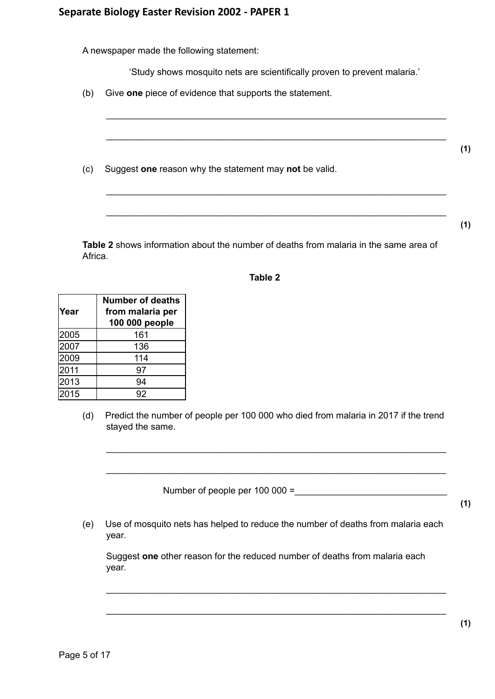A newspaper made the following statement:

'Study shows mosquito nets are scientifically proven to prevent malaria.'

(b) Give **one** piece of evidence that supports the statement.



**Table 2** shows information about the number of deaths from malaria in the same area of Africa.

### **Table 2**

| lYear | <b>Number of deaths</b><br>from malaria per<br>100 000 people |
|-------|---------------------------------------------------------------|
| 2005  | 161                                                           |
| 2007  | 136                                                           |
| 2009  | 114                                                           |
| 2011  | 97                                                            |
| 2013  | 94                                                            |
| 2015  | 92                                                            |

(d) Predict the number of people per 100 000 who died from malaria in 2017 if the trend stayed the same.

\_\_\_\_\_\_\_\_\_\_\_\_\_\_\_\_\_\_\_\_\_\_\_\_\_\_\_\_\_\_\_\_\_\_\_\_\_\_\_\_\_\_\_\_\_\_\_\_\_\_\_\_\_\_\_\_\_\_\_\_\_\_\_\_\_\_\_

\_\_\_\_\_\_\_\_\_\_\_\_\_\_\_\_\_\_\_\_\_\_\_\_\_\_\_\_\_\_\_\_\_\_\_\_\_\_\_\_\_\_\_\_\_\_\_\_\_\_\_\_\_\_\_\_\_\_\_\_\_\_\_\_\_\_\_

Number of people per  $100\,000 =$ 

**(1)**

(e) Use of mosquito nets has helped to reduce the number of deaths from malaria each year.

Suggest **one** other reason for the reduced number of deaths from malaria each year.

\_\_\_\_\_\_\_\_\_\_\_\_\_\_\_\_\_\_\_\_\_\_\_\_\_\_\_\_\_\_\_\_\_\_\_\_\_\_\_\_\_\_\_\_\_\_\_\_\_\_\_\_\_\_\_\_\_\_\_\_\_\_\_\_\_\_\_

\_\_\_\_\_\_\_\_\_\_\_\_\_\_\_\_\_\_\_\_\_\_\_\_\_\_\_\_\_\_\_\_\_\_\_\_\_\_\_\_\_\_\_\_\_\_\_\_\_\_\_\_\_\_\_\_\_\_\_\_\_\_\_\_\_\_\_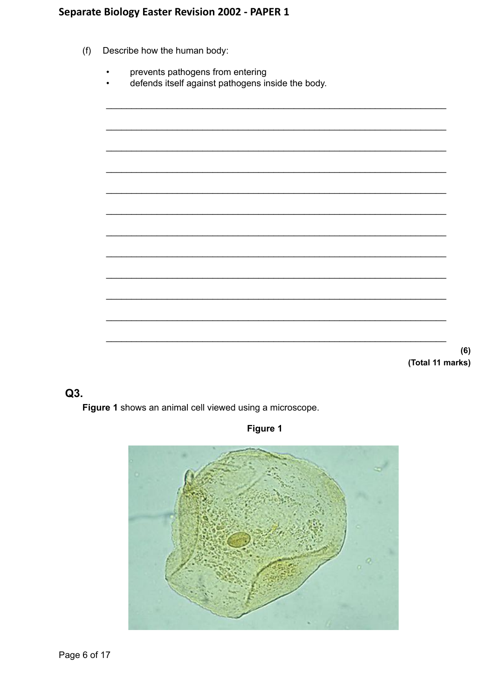- $(f)$ Describe how the human body:
	- prevents pathogens from entering
	- defends itself against pathogens inside the body.

(Total 11 marks)

 $(6)$ 

## $Q3.$

Figure 1 shows an animal cell viewed using a microscope.

## Figure 1

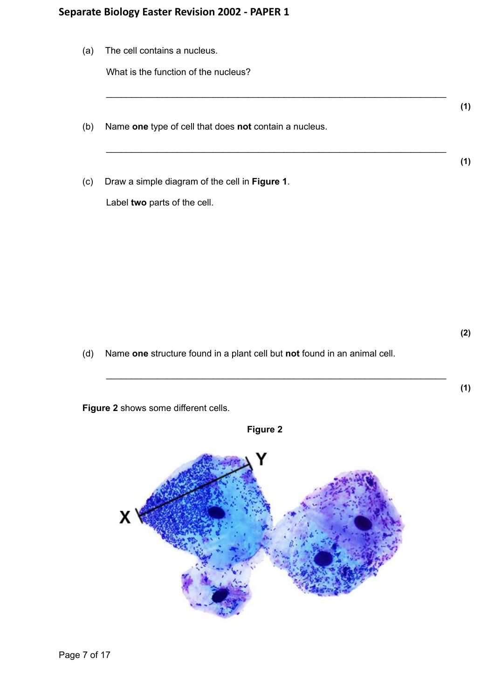(a) The cell contains a nucleus.

What is the function of the nucleus?

(b) Name **one** type of cell that does **not** contain a nucleus.

\_\_\_\_\_\_\_\_\_\_\_\_\_\_\_\_\_\_\_\_\_\_\_\_\_\_\_\_\_\_\_\_\_\_\_\_\_\_\_\_\_\_\_\_\_\_\_\_\_\_\_\_\_\_\_\_\_\_\_\_\_\_\_\_\_\_\_

\_\_\_\_\_\_\_\_\_\_\_\_\_\_\_\_\_\_\_\_\_\_\_\_\_\_\_\_\_\_\_\_\_\_\_\_\_\_\_\_\_\_\_\_\_\_\_\_\_\_\_\_\_\_\_\_\_\_\_\_\_\_\_\_\_\_\_

(c) Draw a simple diagram of the cell in **Figure 1**.

Label **two** parts of the cell.

(d) Name **one** structure found in a plant cell but **not** found in an animal cell.

\_\_\_\_\_\_\_\_\_\_\_\_\_\_\_\_\_\_\_\_\_\_\_\_\_\_\_\_\_\_\_\_\_\_\_\_\_\_\_\_\_\_\_\_\_\_\_\_\_\_\_\_\_\_\_\_\_\_\_\_\_\_\_\_\_\_\_

**Figure 2** shows some different cells.



**(2)**

**(1)**

**(1)**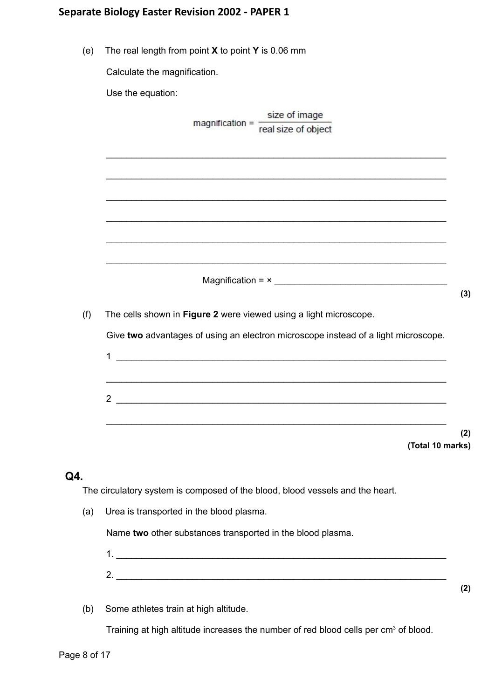|  | (e) The real length from point $X$ to point $Y$ is 0.06 mm |  |
|--|------------------------------------------------------------|--|
|  |                                                            |  |

Calculate the magnification.

Use the equation:

|     | size of image                                                                      |     |
|-----|------------------------------------------------------------------------------------|-----|
|     | magnification = $\frac{1}{\text{real size of object}}$                             |     |
|     |                                                                                    |     |
|     |                                                                                    |     |
|     |                                                                                    |     |
|     |                                                                                    |     |
|     |                                                                                    |     |
|     |                                                                                    |     |
|     |                                                                                    |     |
|     |                                                                                    | (3) |
| (f) | The cells shown in Figure 2 were viewed using a light microscope.                  |     |
|     | Give two advantages of using an electron microscope instead of a light microscope. |     |
|     | $\mathbf{1}$<br><u> 1989 - Johann Barnett, fransk politiker (d. 1989)</u>          |     |
|     |                                                                                    |     |
|     | $\overline{2}$                                                                     |     |
|     |                                                                                    |     |
|     | (Total 10 marks)                                                                   | (2) |
|     |                                                                                    |     |
|     |                                                                                    |     |
|     | The circulatory system is composed of the blood, blood vessels and the heart.      |     |
| (a) | Urea is transported in the blood plasma.                                           |     |
|     | Name two other substances transported in the blood plasma.                         |     |

- 1. \_\_\_\_\_\_\_\_\_\_\_\_\_\_\_\_\_\_\_\_\_\_\_\_\_\_\_\_\_\_\_\_\_\_\_\_\_\_\_\_\_\_\_\_\_\_\_\_\_\_\_\_\_\_\_\_\_\_\_\_\_\_\_\_\_ 2. \_\_\_\_\_\_\_\_\_\_\_\_\_\_\_\_\_\_\_\_\_\_\_\_\_\_\_\_\_\_\_\_\_\_\_\_\_\_\_\_\_\_\_\_\_\_\_\_\_\_\_\_\_\_\_\_\_\_\_\_\_\_\_\_\_
- (b) Some athletes train at high altitude.

Training at high altitude increases the number of red blood cells per cm<sup>3</sup> of blood.

**Q4.**

**(2)**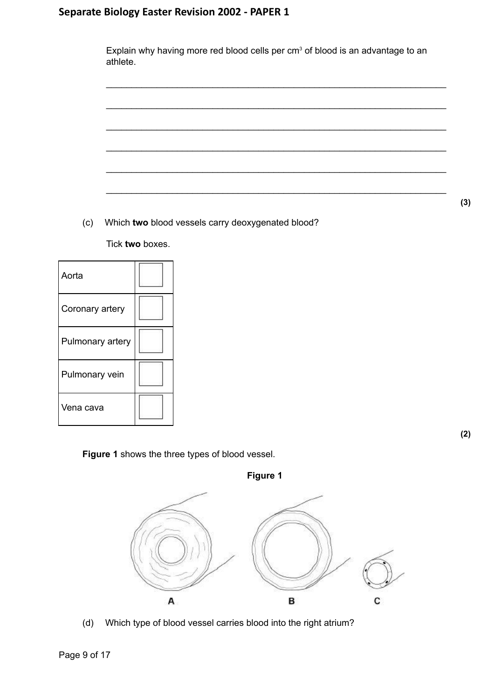| athlete. |  | Explain why having more red blood cells per $cm3$ of blood is an advantage to an |
|----------|--|----------------------------------------------------------------------------------|
|          |  |                                                                                  |
|          |  |                                                                                  |
|          |  |                                                                                  |
|          |  |                                                                                  |
|          |  |                                                                                  |
|          |  |                                                                                  |

(c) Which **two** blood vessels carry deoxygenated blood?

Tick **two** boxes.

| Aorta            |  |
|------------------|--|
| Coronary artery  |  |
| Pulmonary artery |  |
| Pulmonary vein   |  |
| Vena cava        |  |

**Figure 1** shows the three types of blood vessel.



(d) Which type of blood vessel carries blood into the right atrium?

**(2)**

**(3)**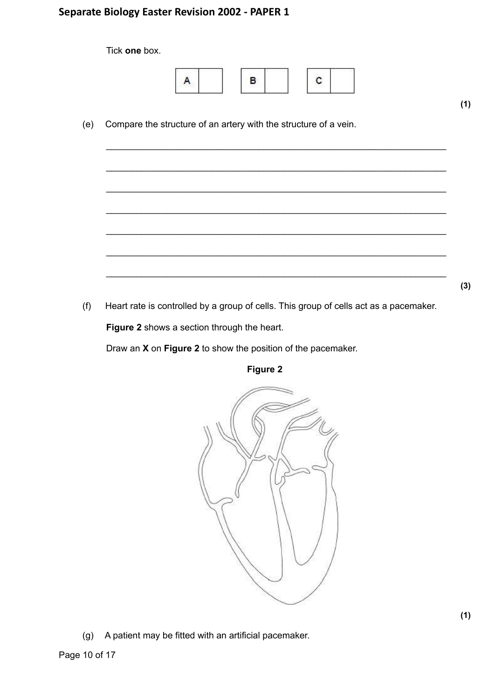|     | Tick one box.                                                                         |     |
|-----|---------------------------------------------------------------------------------------|-----|
|     | в<br>A<br>с                                                                           |     |
| (e) | Compare the structure of an artery with the structure of a vein.                      | (1) |
|     |                                                                                       |     |
|     |                                                                                       |     |
|     |                                                                                       |     |
|     |                                                                                       |     |
|     |                                                                                       |     |
| (f) | Heart rate is controlled by a group of cells. This group of cells act as a pacemaker. | (3) |

**Figure 2** shows a section through the heart.

Draw an **X** on **Figure 2** to show the position of the pacemaker.





(g) A patient may be fitted with an artificial pacemaker.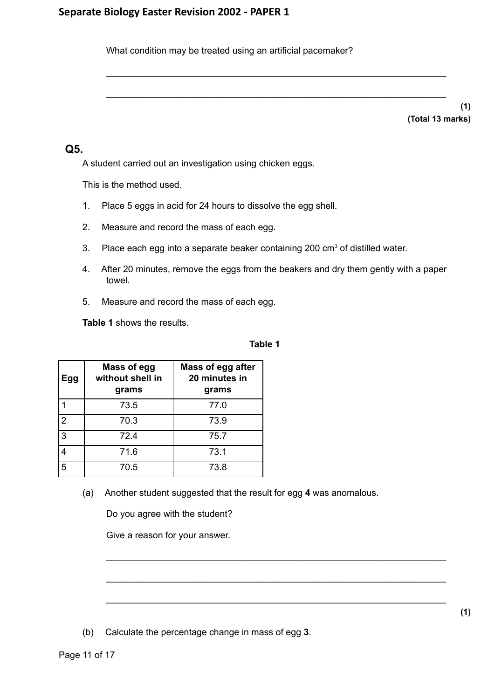What condition may be treated using an artificial pacemaker?

\_\_\_\_\_\_\_\_\_\_\_\_\_\_\_\_\_\_\_\_\_\_\_\_\_\_\_\_\_\_\_\_\_\_\_\_\_\_\_\_\_\_\_\_\_\_\_\_\_\_\_\_\_\_\_\_\_\_\_\_\_\_\_\_\_\_\_

\_\_\_\_\_\_\_\_\_\_\_\_\_\_\_\_\_\_\_\_\_\_\_\_\_\_\_\_\_\_\_\_\_\_\_\_\_\_\_\_\_\_\_\_\_\_\_\_\_\_\_\_\_\_\_\_\_\_\_\_\_\_\_\_\_\_\_

**(1) (Total 13 marks)**

### **Q5.**

A student carried out an investigation using chicken eggs.

This is the method used.

- 1. Place 5 eggs in acid for 24 hours to dissolve the egg shell.
- 2. Measure and record the mass of each egg.
- 3. Place each egg into a separate beaker containing 200  $\text{cm}^3$  of distilled water.
- 4. After 20 minutes, remove the eggs from the beakers and dry them gently with a paper towel.
- 5. Measure and record the mass of each egg.

**Table 1** shows the results.

#### **Table 1**

\_\_\_\_\_\_\_\_\_\_\_\_\_\_\_\_\_\_\_\_\_\_\_\_\_\_\_\_\_\_\_\_\_\_\_\_\_\_\_\_\_\_\_\_\_\_\_\_\_\_\_\_\_\_\_\_\_\_\_\_\_\_\_\_\_\_\_

\_\_\_\_\_\_\_\_\_\_\_\_\_\_\_\_\_\_\_\_\_\_\_\_\_\_\_\_\_\_\_\_\_\_\_\_\_\_\_\_\_\_\_\_\_\_\_\_\_\_\_\_\_\_\_\_\_\_\_\_\_\_\_\_\_\_\_

\_\_\_\_\_\_\_\_\_\_\_\_\_\_\_\_\_\_\_\_\_\_\_\_\_\_\_\_\_\_\_\_\_\_\_\_\_\_\_\_\_\_\_\_\_\_\_\_\_\_\_\_\_\_\_\_\_\_\_\_\_\_\_\_\_\_\_

| Egg            | Mass of egg<br>without shell in<br>grams | <b>Mass of egg after</b><br>20 minutes in<br>grams |
|----------------|------------------------------------------|----------------------------------------------------|
|                | 73.5                                     | 77.0                                               |
| $\overline{2}$ | 70.3                                     | 73.9                                               |
| 3              | 72.4                                     | 75.7                                               |
| 4              | 71.6                                     | 73.1                                               |
| 5              | 70.5                                     | 73.8                                               |

(a) Another student suggested that the result for egg **4** was anomalous.

Do you agree with the student?

Give a reason for your answer.

(b) Calculate the percentage change in mass of egg **3**.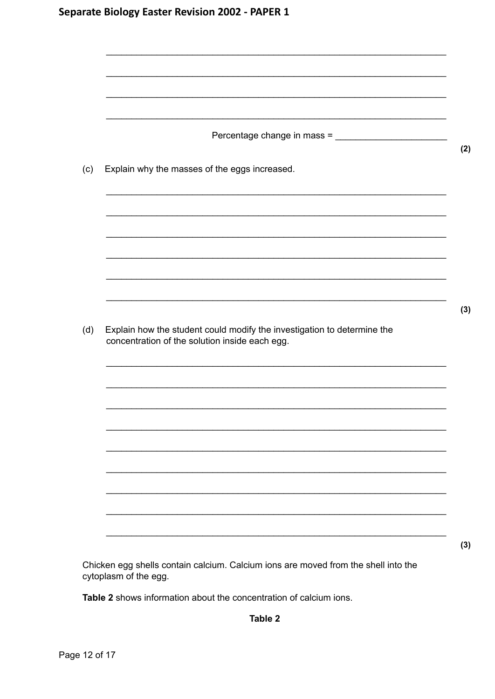| (c) | Explain why the masses of the eggs increased.                                                                             |  |
|-----|---------------------------------------------------------------------------------------------------------------------------|--|
|     |                                                                                                                           |  |
|     |                                                                                                                           |  |
|     |                                                                                                                           |  |
|     |                                                                                                                           |  |
|     |                                                                                                                           |  |
| (d) | Explain how the student could modify the investigation to determine the<br>concentration of the solution inside each egg. |  |
|     |                                                                                                                           |  |
|     |                                                                                                                           |  |
|     |                                                                                                                           |  |
|     |                                                                                                                           |  |
|     |                                                                                                                           |  |
|     |                                                                                                                           |  |

Chicken egg shells contain calcium. Calcium ions are moved from the shell into the cytoplasm of the egg.

Table 2 shows information about the concentration of calcium ions.

Table 2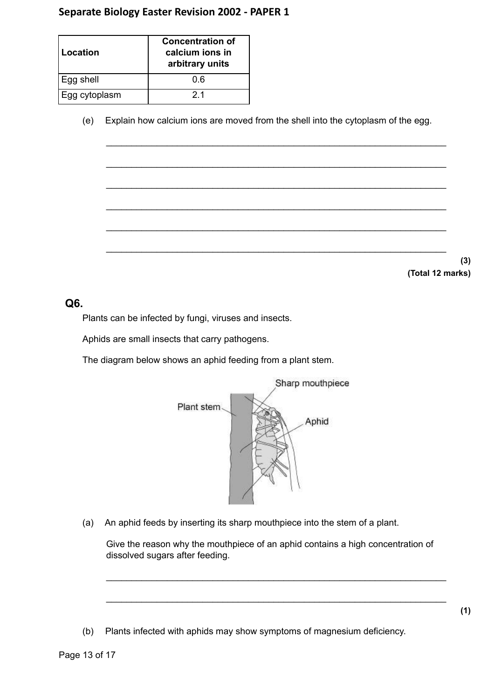| Location      | <b>Concentration of</b><br>calcium ions in<br>arbitrary units |
|---------------|---------------------------------------------------------------|
| Egg shell     |                                                               |
| Egg cytoplasm | 21                                                            |

(e) Explain how calcium ions are moved from the shell into the cytoplasm of the egg.

\_\_\_\_\_\_\_\_\_\_\_\_\_\_\_\_\_\_\_\_\_\_\_\_\_\_\_\_\_\_\_\_\_\_\_\_\_\_\_\_\_\_\_\_\_\_\_\_\_\_\_\_\_\_\_\_\_\_\_\_\_\_\_\_\_\_\_

\_\_\_\_\_\_\_\_\_\_\_\_\_\_\_\_\_\_\_\_\_\_\_\_\_\_\_\_\_\_\_\_\_\_\_\_\_\_\_\_\_\_\_\_\_\_\_\_\_\_\_\_\_\_\_\_\_\_\_\_\_\_\_\_\_\_\_

\_\_\_\_\_\_\_\_\_\_\_\_\_\_\_\_\_\_\_\_\_\_\_\_\_\_\_\_\_\_\_\_\_\_\_\_\_\_\_\_\_\_\_\_\_\_\_\_\_\_\_\_\_\_\_\_\_\_\_\_\_\_\_\_\_\_\_

\_\_\_\_\_\_\_\_\_\_\_\_\_\_\_\_\_\_\_\_\_\_\_\_\_\_\_\_\_\_\_\_\_\_\_\_\_\_\_\_\_\_\_\_\_\_\_\_\_\_\_\_\_\_\_\_\_\_\_\_\_\_\_\_\_\_\_

\_\_\_\_\_\_\_\_\_\_\_\_\_\_\_\_\_\_\_\_\_\_\_\_\_\_\_\_\_\_\_\_\_\_\_\_\_\_\_\_\_\_\_\_\_\_\_\_\_\_\_\_\_\_\_\_\_\_\_\_\_\_\_\_\_\_\_

\_\_\_\_\_\_\_\_\_\_\_\_\_\_\_\_\_\_\_\_\_\_\_\_\_\_\_\_\_\_\_\_\_\_\_\_\_\_\_\_\_\_\_\_\_\_\_\_\_\_\_\_\_\_\_\_\_\_\_\_\_\_\_\_\_\_\_

**(3) (Total 12 marks)**

### **Q6.**

Plants can be infected by fungi, viruses and insects.

Aphids are small insects that carry pathogens.

The diagram below shows an aphid feeding from a plant stem.



(a) An aphid feeds by inserting its sharp mouthpiece into the stem of a plant.

Give the reason why the mouthpiece of an aphid contains a high concentration of dissolved sugars after feeding.

\_\_\_\_\_\_\_\_\_\_\_\_\_\_\_\_\_\_\_\_\_\_\_\_\_\_\_\_\_\_\_\_\_\_\_\_\_\_\_\_\_\_\_\_\_\_\_\_\_\_\_\_\_\_\_\_\_\_\_\_\_\_\_\_\_\_\_

\_\_\_\_\_\_\_\_\_\_\_\_\_\_\_\_\_\_\_\_\_\_\_\_\_\_\_\_\_\_\_\_\_\_\_\_\_\_\_\_\_\_\_\_\_\_\_\_\_\_\_\_\_\_\_\_\_\_\_\_\_\_\_\_\_\_\_

(b) Plants infected with aphids may show symptoms of magnesium deficiency.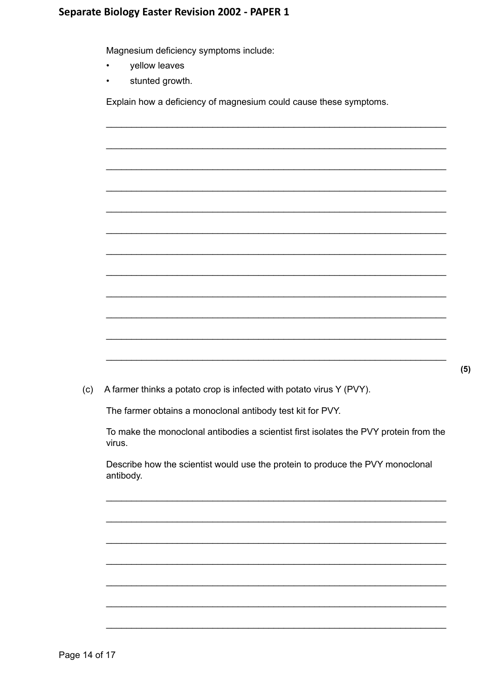Magnesium deficiency symptoms include:

- yellow leaves  $\bullet$
- stunted growth.  $\bullet$

Explain how a deficiency of magnesium could cause these symptoms.

| (c)       | A farmer thinks a potato crop is infected with potato virus Y (PVY).                  |
|-----------|---------------------------------------------------------------------------------------|
|           | The farmer obtains a monoclonal antibody test kit for PVY.                            |
| virus.    | To make the monoclonal antibodies a scientist first isolates the PVY protein from the |
| antibody. | Describe how the scientist would use the protein to produce the PVY monoclonal        |
|           |                                                                                       |
|           |                                                                                       |
|           |                                                                                       |
|           |                                                                                       |
|           |                                                                                       |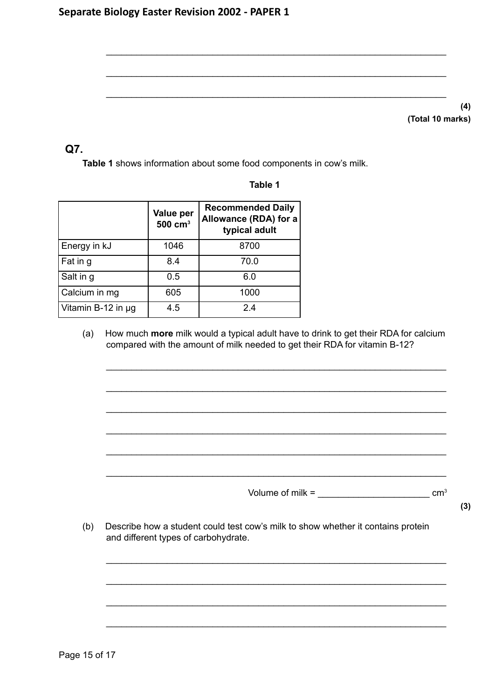## **Q7.**

**Table 1** shows information about some food components in cow's milk.

|                    | Value per<br>$500 \text{ cm}^3$ | <b>Recommended Daily</b><br>Allowance (RDA) for a<br>typical adult |
|--------------------|---------------------------------|--------------------------------------------------------------------|
| Energy in kJ       | 1046                            | 8700                                                               |
| Fat in g           | 8.4                             | 70.0                                                               |
| Salt in g          | 0.5                             | 6.0                                                                |
| Calcium in mg      | 605                             | 1000                                                               |
| Vitamin B-12 in µg | 4.5                             | 24                                                                 |

### **Table 1**

\_\_\_\_\_\_\_\_\_\_\_\_\_\_\_\_\_\_\_\_\_\_\_\_\_\_\_\_\_\_\_\_\_\_\_\_\_\_\_\_\_\_\_\_\_\_\_\_\_\_\_\_\_\_\_\_\_\_\_\_\_\_\_\_\_\_\_

\_\_\_\_\_\_\_\_\_\_\_\_\_\_\_\_\_\_\_\_\_\_\_\_\_\_\_\_\_\_\_\_\_\_\_\_\_\_\_\_\_\_\_\_\_\_\_\_\_\_\_\_\_\_\_\_\_\_\_\_\_\_\_\_\_\_\_

\_\_\_\_\_\_\_\_\_\_\_\_\_\_\_\_\_\_\_\_\_\_\_\_\_\_\_\_\_\_\_\_\_\_\_\_\_\_\_\_\_\_\_\_\_\_\_\_\_\_\_\_\_\_\_\_\_\_\_\_\_\_\_\_\_\_\_

(a) How much **more** milk would a typical adult have to drink to get their RDA for calcium compared with the amount of milk needed to get their RDA for vitamin B-12?

\_\_\_\_\_\_\_\_\_\_\_\_\_\_\_\_\_\_\_\_\_\_\_\_\_\_\_\_\_\_\_\_\_\_\_\_\_\_\_\_\_\_\_\_\_\_\_\_\_\_\_\_\_\_\_\_\_\_\_\_\_\_\_\_\_\_\_

\_\_\_\_\_\_\_\_\_\_\_\_\_\_\_\_\_\_\_\_\_\_\_\_\_\_\_\_\_\_\_\_\_\_\_\_\_\_\_\_\_\_\_\_\_\_\_\_\_\_\_\_\_\_\_\_\_\_\_\_\_\_\_\_\_\_\_

\_\_\_\_\_\_\_\_\_\_\_\_\_\_\_\_\_\_\_\_\_\_\_\_\_\_\_\_\_\_\_\_\_\_\_\_\_\_\_\_\_\_\_\_\_\_\_\_\_\_\_\_\_\_\_\_\_\_\_\_\_\_\_\_\_\_\_

\_\_\_\_\_\_\_\_\_\_\_\_\_\_\_\_\_\_\_\_\_\_\_\_\_\_\_\_\_\_\_\_\_\_\_\_\_\_\_\_\_\_\_\_\_\_\_\_\_\_\_\_\_\_\_\_\_\_\_\_\_\_\_\_\_\_\_

\_\_\_\_\_\_\_\_\_\_\_\_\_\_\_\_\_\_\_\_\_\_\_\_\_\_\_\_\_\_\_\_\_\_\_\_\_\_\_\_\_\_\_\_\_\_\_\_\_\_\_\_\_\_\_\_\_\_\_\_\_\_\_\_\_\_\_

\_\_\_\_\_\_\_\_\_\_\_\_\_\_\_\_\_\_\_\_\_\_\_\_\_\_\_\_\_\_\_\_\_\_\_\_\_\_\_\_\_\_\_\_\_\_\_\_\_\_\_\_\_\_\_\_\_\_\_\_\_\_\_\_\_\_\_

\_\_\_\_\_\_\_\_\_\_\_\_\_\_\_\_\_\_\_\_\_\_\_\_\_\_\_\_\_\_\_\_\_\_\_\_\_\_\_\_\_\_\_\_\_\_\_\_\_\_\_\_\_\_\_\_\_\_\_\_\_\_\_\_\_\_\_

\_\_\_\_\_\_\_\_\_\_\_\_\_\_\_\_\_\_\_\_\_\_\_\_\_\_\_\_\_\_\_\_\_\_\_\_\_\_\_\_\_\_\_\_\_\_\_\_\_\_\_\_\_\_\_\_\_\_\_\_\_\_\_\_\_\_\_

\_\_\_\_\_\_\_\_\_\_\_\_\_\_\_\_\_\_\_\_\_\_\_\_\_\_\_\_\_\_\_\_\_\_\_\_\_\_\_\_\_\_\_\_\_\_\_\_\_\_\_\_\_\_\_\_\_\_\_\_\_\_\_\_\_\_\_

\_\_\_\_\_\_\_\_\_\_\_\_\_\_\_\_\_\_\_\_\_\_\_\_\_\_\_\_\_\_\_\_\_\_\_\_\_\_\_\_\_\_\_\_\_\_\_\_\_\_\_\_\_\_\_\_\_\_\_\_\_\_\_\_\_\_\_

Volume of milk =  $\frac{1}{2}$  cm<sup>3</sup>

**(3)**

(b) Describe how a student could test cow's milk to show whether it contains protein and different types of carbohydrate.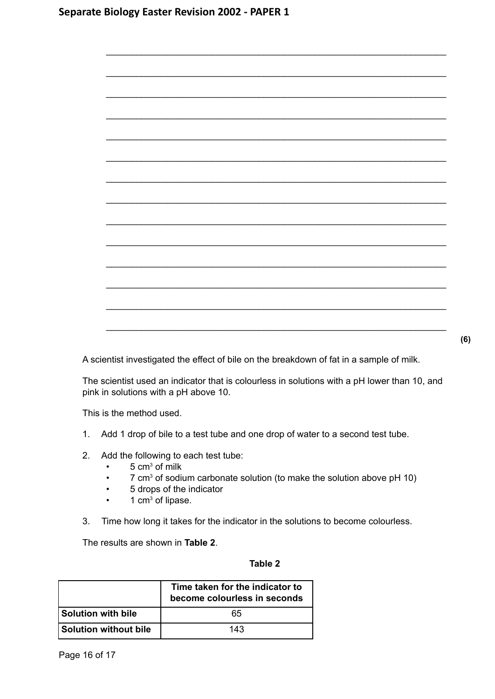

A scientist investigated the effect of bile on the breakdown of fat in a sample of milk.

The scientist used an indicator that is colourless in solutions with a pH lower than 10, and pink in solutions with a pH above 10.

This is the method used.

- 1. Add 1 drop of bile to a test tube and one drop of water to a second test tube.
- 2. Add the following to each test tube:
	- $\cdot$  5 cm<sup>3</sup> of milk
	- 7 cm<sup>3</sup> of sodium carbonate solution (to make the solution above pH 10)
	- 5 drops of the indicator
	- $\cdot$  1 cm<sup>3</sup> of lipase.
- 3. Time how long it takes for the indicator in the solutions to become colourless.

The results are shown in **Table 2**.

#### **Table 2**

|                       | Time taken for the indicator to<br>become colourless in seconds |
|-----------------------|-----------------------------------------------------------------|
| Solution with bile    | 65                                                              |
| Solution without bile | 143                                                             |